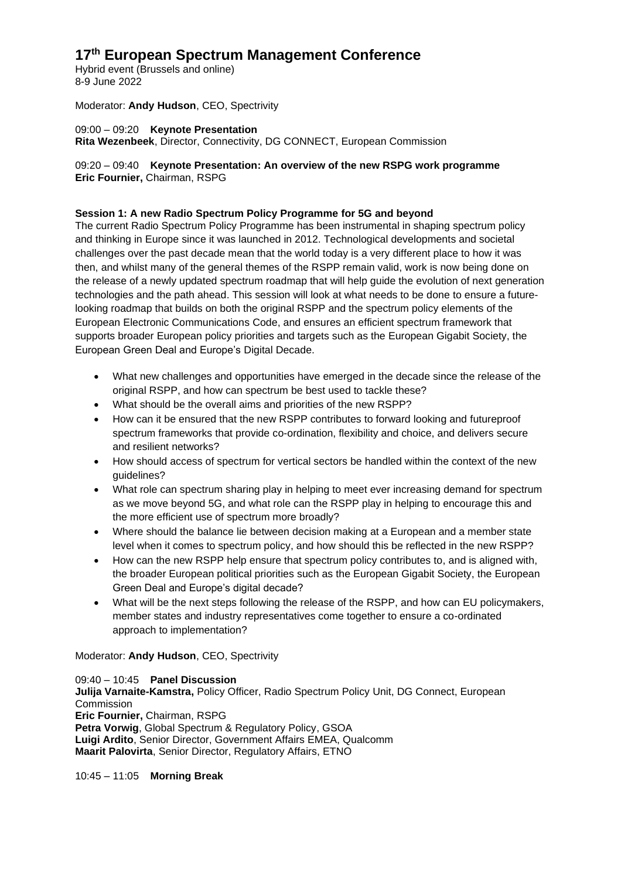# **17th European Spectrum Management Conference**

Hybrid event (Brussels and online) 8-9 June 2022

Moderator: **Andy Hudson**, CEO, Spectrivity

09:00 – 09:20 **Keynote Presentation Rita Wezenbeek**, Director, Connectivity, DG CONNECT, European Commission

## 09:20 – 09:40 **Keynote Presentation: An overview of the new RSPG work programme Eric Fournier,** Chairman, RSPG

## **Session 1: A new Radio Spectrum Policy Programme for 5G and beyond**

The current Radio Spectrum Policy Programme has been instrumental in shaping spectrum policy and thinking in Europe since it was launched in 2012. Technological developments and societal challenges over the past decade mean that the world today is a very different place to how it was then, and whilst many of the general themes of the RSPP remain valid, work is now being done on the release of a newly updated spectrum roadmap that will help guide the evolution of next generation technologies and the path ahead. This session will look at what needs to be done to ensure a futurelooking roadmap that builds on both the original RSPP and the spectrum policy elements of the European Electronic Communications Code, and ensures an efficient spectrum framework that supports broader European policy priorities and targets such as the European Gigabit Society, the European Green Deal and Europe's Digital Decade.

- What new challenges and opportunities have emerged in the decade since the release of the original RSPP, and how can spectrum be best used to tackle these?
- What should be the overall aims and priorities of the new RSPP?
- How can it be ensured that the new RSPP contributes to forward looking and futureproof spectrum frameworks that provide co-ordination, flexibility and choice, and delivers secure and resilient networks?
- How should access of spectrum for vertical sectors be handled within the context of the new guidelines?
- What role can spectrum sharing play in helping to meet ever increasing demand for spectrum as we move beyond 5G, and what role can the RSPP play in helping to encourage this and the more efficient use of spectrum more broadly?
- Where should the balance lie between decision making at a European and a member state level when it comes to spectrum policy, and how should this be reflected in the new RSPP?
- How can the new RSPP help ensure that spectrum policy contributes to, and is aligned with, the broader European political priorities such as the European Gigabit Society, the European Green Deal and Europe's digital decade?
- What will be the next steps following the release of the RSPP, and how can EU policymakers, member states and industry representatives come together to ensure a co-ordinated approach to implementation?

Moderator: **Andy Hudson**, CEO, Spectrivity

09:40 – 10:45 **Panel Discussion Julija Varnaite-Kamstra,** Policy Officer, Radio Spectrum Policy Unit, DG Connect, European **Commission Eric Fournier,** Chairman, RSPG **Petra Vorwig**, Global Spectrum & Regulatory Policy, GSOA **Luigi Ardito**, Senior Director, Government Affairs EMEA, Qualcomm **Maarit Palovirta**, Senior Director, Regulatory Affairs, ETNO

10:45 – 11:05 **Morning Break**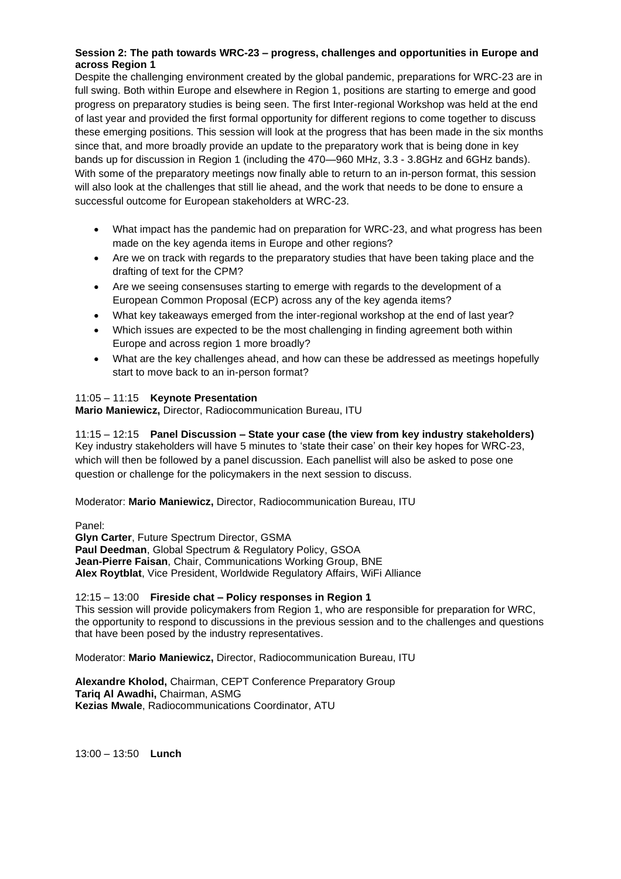#### **Session 2: The path towards WRC-23 – progress, challenges and opportunities in Europe and across Region 1**

Despite the challenging environment created by the global pandemic, preparations for WRC-23 are in full swing. Both within Europe and elsewhere in Region 1, positions are starting to emerge and good progress on preparatory studies is being seen. The first Inter-regional Workshop was held at the end of last year and provided the first formal opportunity for different regions to come together to discuss these emerging positions. This session will look at the progress that has been made in the six months since that, and more broadly provide an update to the preparatory work that is being done in key bands up for discussion in Region 1 (including the 470—960 MHz, 3.3 - 3.8GHz and 6GHz bands). With some of the preparatory meetings now finally able to return to an in-person format, this session will also look at the challenges that still lie ahead, and the work that needs to be done to ensure a successful outcome for European stakeholders at WRC-23.

- What impact has the pandemic had on preparation for WRC-23, and what progress has been made on the key agenda items in Europe and other regions?
- Are we on track with regards to the preparatory studies that have been taking place and the drafting of text for the CPM?
- Are we seeing consensuses starting to emerge with regards to the development of a European Common Proposal (ECP) across any of the key agenda items?
- What key takeaways emerged from the inter-regional workshop at the end of last year?
- Which issues are expected to be the most challenging in finding agreement both within Europe and across region 1 more broadly?
- What are the key challenges ahead, and how can these be addressed as meetings hopefully start to move back to an in-person format?

#### 11:05 – 11:15 **Keynote Presentation**

**Mario Maniewicz,** Director, Radiocommunication Bureau, ITU

11:15 – 12:15 **Panel Discussion – State your case (the view from key industry stakeholders)** Key industry stakeholders will have 5 minutes to 'state their case' on their key hopes for WRC-23, which will then be followed by a panel discussion. Each panellist will also be asked to pose one question or challenge for the policymakers in the next session to discuss.

#### Moderator: **Mario Maniewicz,** Director, Radiocommunication Bureau, ITU

Panel:

**Glyn Carter**, Future Spectrum Director, GSMA **Paul Deedman**, Global Spectrum & Regulatory Policy, GSOA **Jean-Pierre Faisan**, Chair, Communications Working Group, BNE **Alex Roytblat**, Vice President, Worldwide Regulatory Affairs, WiFi Alliance

#### 12:15 – 13:00 **Fireside chat – Policy responses in Region 1**

This session will provide policymakers from Region 1, who are responsible for preparation for WRC, the opportunity to respond to discussions in the previous session and to the challenges and questions that have been posed by the industry representatives.

Moderator: **Mario Maniewicz,** Director, Radiocommunication Bureau, ITU

**Alexandre Kholod,** Chairman, CEPT Conference Preparatory Group **Tariq Al Awadhi,** Chairman, ASMG **Kezias Mwale**, Radiocommunications Coordinator, ATU

13:00 – 13:50 **Lunch**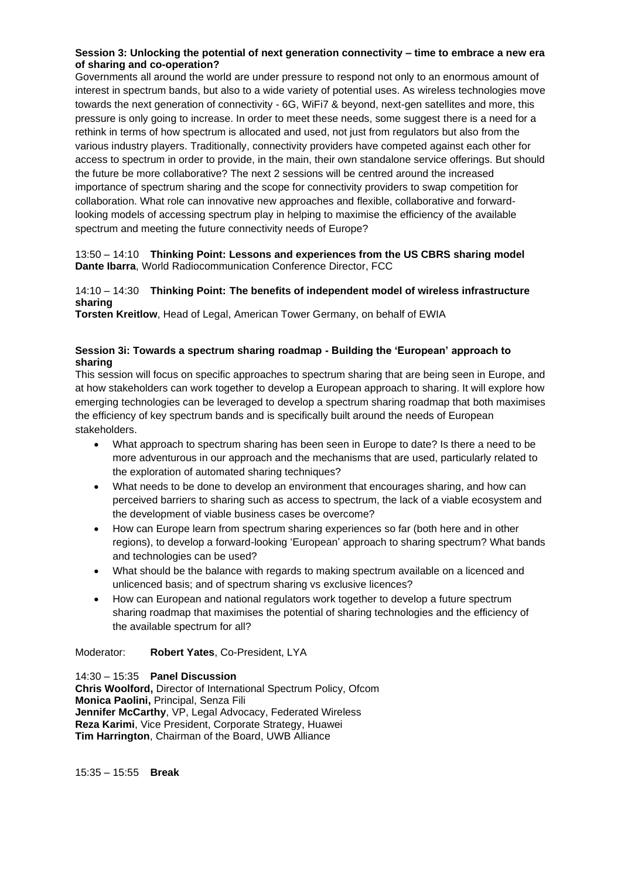#### **Session 3: Unlocking the potential of next generation connectivity – time to embrace a new era of sharing and co-operation?**

Governments all around the world are under pressure to respond not only to an enormous amount of interest in spectrum bands, but also to a wide variety of potential uses. As wireless technologies move towards the next generation of connectivity - 6G, WiFi7 & beyond, next-gen satellites and more, this pressure is only going to increase. In order to meet these needs, some suggest there is a need for a rethink in terms of how spectrum is allocated and used, not just from regulators but also from the various industry players. Traditionally, connectivity providers have competed against each other for access to spectrum in order to provide, in the main, their own standalone service offerings. But should the future be more collaborative? The next 2 sessions will be centred around the increased importance of spectrum sharing and the scope for connectivity providers to swap competition for collaboration. What role can innovative new approaches and flexible, collaborative and forwardlooking models of accessing spectrum play in helping to maximise the efficiency of the available spectrum and meeting the future connectivity needs of Europe?

#### 13:50 – 14:10 **Thinking Point: Lessons and experiences from the US CBRS sharing model Dante Ibarra**, World Radiocommunication Conference Director, FCC

## 14:10 – 14:30 **Thinking Point: The benefits of independent model of wireless infrastructure sharing**

**Torsten Kreitlow**, Head of Legal, American Tower Germany, on behalf of EWIA

#### **Session 3i: Towards a spectrum sharing roadmap - Building the 'European' approach to sharing**

This session will focus on specific approaches to spectrum sharing that are being seen in Europe, and at how stakeholders can work together to develop a European approach to sharing. It will explore how emerging technologies can be leveraged to develop a spectrum sharing roadmap that both maximises the efficiency of key spectrum bands and is specifically built around the needs of European stakeholders.

- What approach to spectrum sharing has been seen in Europe to date? Is there a need to be more adventurous in our approach and the mechanisms that are used, particularly related to the exploration of automated sharing techniques?
- What needs to be done to develop an environment that encourages sharing, and how can perceived barriers to sharing such as access to spectrum, the lack of a viable ecosystem and the development of viable business cases be overcome?
- How can Europe learn from spectrum sharing experiences so far (both here and in other regions), to develop a forward-looking 'European' approach to sharing spectrum? What bands and technologies can be used?
- What should be the balance with regards to making spectrum available on a licenced and unlicenced basis; and of spectrum sharing vs exclusive licences?
- How can European and national regulators work together to develop a future spectrum sharing roadmap that maximises the potential of sharing technologies and the efficiency of the available spectrum for all?

#### Moderator: **Robert Yates**, Co-President, LYA

14:30 – 15:35 **Panel Discussion Chris Woolford,** Director of International Spectrum Policy, Ofcom **Monica Paolini,** Principal, Senza Fili **Jennifer McCarthy**, VP, Legal Advocacy, Federated Wireless **Reza Karimi**, Vice President, Corporate Strategy, Huawei **Tim Harrington**, Chairman of the Board, UWB Alliance

15:35 – 15:55 **Break**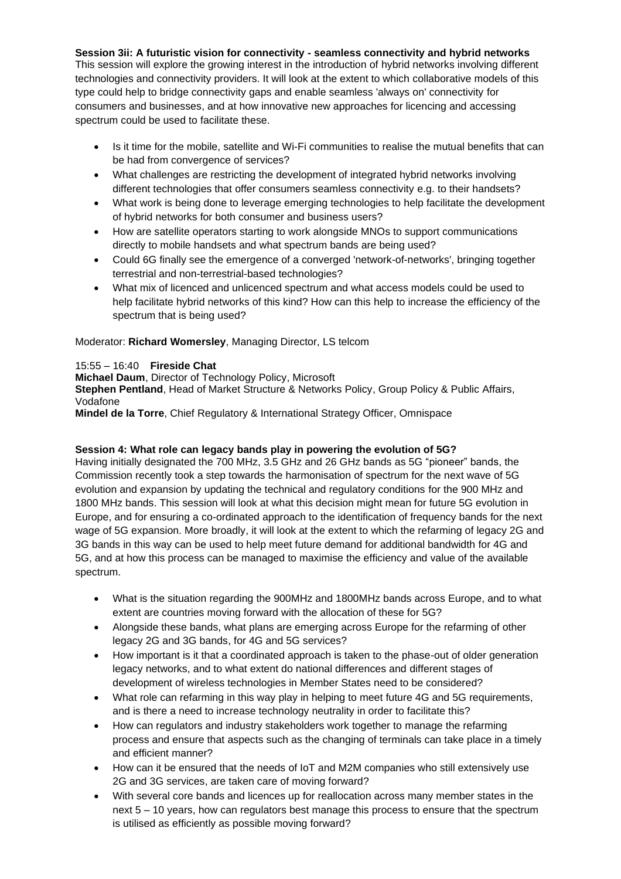**Session 3ii: A futuristic vision for connectivity - seamless connectivity and hybrid networks**

This session will explore the growing interest in the introduction of hybrid networks involving different technologies and connectivity providers. It will look at the extent to which collaborative models of this type could help to bridge connectivity gaps and enable seamless 'always on' connectivity for consumers and businesses, and at how innovative new approaches for licencing and accessing spectrum could be used to facilitate these.

- Is it time for the mobile, satellite and Wi-Fi communities to realise the mutual benefits that can be had from convergence of services?
- What challenges are restricting the development of integrated hybrid networks involving different technologies that offer consumers seamless connectivity e.g. to their handsets?
- What work is being done to leverage emerging technologies to help facilitate the development of hybrid networks for both consumer and business users?
- How are satellite operators starting to work alongside MNOs to support communications directly to mobile handsets and what spectrum bands are being used?
- Could 6G finally see the emergence of a converged 'network-of-networks', bringing together terrestrial and non-terrestrial-based technologies?
- What mix of licenced and unlicenced spectrum and what access models could be used to help facilitate hybrid networks of this kind? How can this help to increase the efficiency of the spectrum that is being used?

Moderator: **Richard Womersley**, Managing Director, LS telcom

#### 15:55 – 16:40 **Fireside Chat**

**Michael Daum**, Director of Technology Policy, Microsoft

**Stephen Pentland**, Head of Market Structure & Networks Policy, Group Policy & Public Affairs, Vodafone

**Mindel de la Torre**, Chief Regulatory & International Strategy Officer, Omnispace

#### **Session 4: What role can legacy bands play in powering the evolution of 5G?**

Having initially designated the 700 MHz, 3.5 GHz and 26 GHz bands as 5G "pioneer" bands, the Commission recently took a step towards the harmonisation of spectrum for the next wave of 5G evolution and expansion by updating the technical and regulatory conditions for the 900 MHz and 1800 MHz bands. This session will look at what this decision might mean for future 5G evolution in Europe, and for ensuring a co-ordinated approach to the identification of frequency bands for the next wage of 5G expansion. More broadly, it will look at the extent to which the refarming of legacy 2G and 3G bands in this way can be used to help meet future demand for additional bandwidth for 4G and 5G, and at how this process can be managed to maximise the efficiency and value of the available spectrum.

- What is the situation regarding the 900MHz and 1800MHz bands across Europe, and to what extent are countries moving forward with the allocation of these for 5G?
- Alongside these bands, what plans are emerging across Europe for the refarming of other legacy 2G and 3G bands, for 4G and 5G services?
- How important is it that a coordinated approach is taken to the phase-out of older generation legacy networks, and to what extent do national differences and different stages of development of wireless technologies in Member States need to be considered?
- What role can refarming in this way play in helping to meet future 4G and 5G requirements, and is there a need to increase technology neutrality in order to facilitate this?
- How can regulators and industry stakeholders work together to manage the refarming process and ensure that aspects such as the changing of terminals can take place in a timely and efficient manner?
- How can it be ensured that the needs of IoT and M2M companies who still extensively use 2G and 3G services, are taken care of moving forward?
- With several core bands and licences up for reallocation across many member states in the next 5 – 10 years, how can regulators best manage this process to ensure that the spectrum is utilised as efficiently as possible moving forward?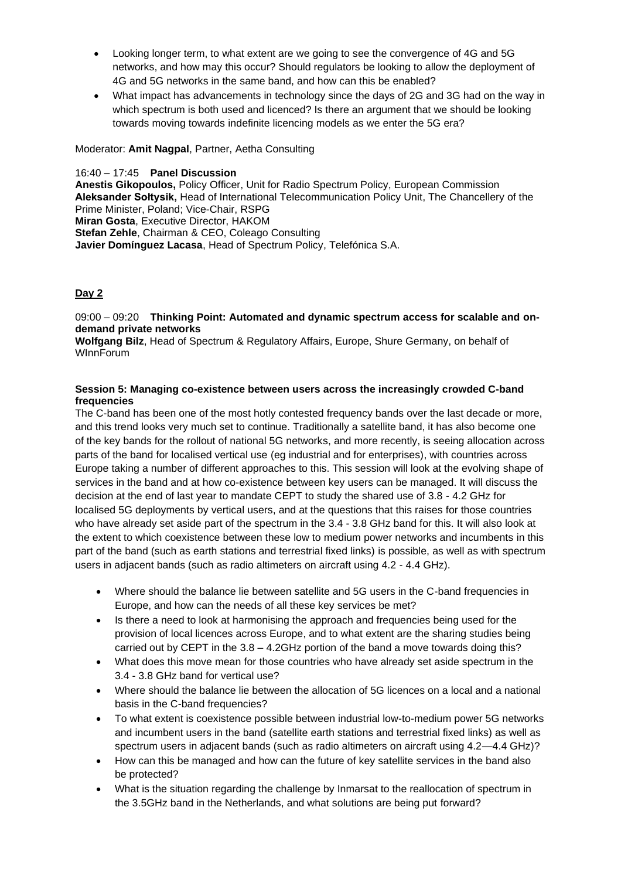- Looking longer term, to what extent are we going to see the convergence of 4G and 5G networks, and how may this occur? Should regulators be looking to allow the deployment of 4G and 5G networks in the same band, and how can this be enabled?
- What impact has advancements in technology since the days of 2G and 3G had on the way in which spectrum is both used and licenced? Is there an argument that we should be looking towards moving towards indefinite licencing models as we enter the 5G era?

Moderator: **Amit Nagpal**, Partner, Aetha Consulting

16:40 – 17:45 **Panel Discussion Anestis Gikopoulos,** Policy Officer, Unit for Radio Spectrum Policy, European Commission **Aleksander Sołtysik,** Head of International Telecommunication Policy Unit, The Chancellery of the Prime Minister, Poland; Vice-Chair, RSPG **Miran Gosta**, Executive Director, HAKOM **Stefan Zehle**, Chairman & CEO, Coleago Consulting **Javier Domínguez Lacasa**, Head of Spectrum Policy, Telefónica S.A.

## **Day 2**

09:00 – 09:20 **Thinking Point: Automated and dynamic spectrum access for scalable and ondemand private networks**

**Wolfgang Bilz**, Head of Spectrum & Regulatory Affairs, Europe, Shure Germany, on behalf of WInnForum

#### **Session 5: Managing co-existence between users across the increasingly crowded C-band frequencies**

The C-band has been one of the most hotly contested frequency bands over the last decade or more, and this trend looks very much set to continue. Traditionally a satellite band, it has also become one of the key bands for the rollout of national 5G networks, and more recently, is seeing allocation across parts of the band for localised vertical use (eg industrial and for enterprises), with countries across Europe taking a number of different approaches to this. This session will look at the evolving shape of services in the band and at how co-existence between key users can be managed. It will discuss the decision at the end of last year to mandate CEPT to study the shared use of 3.8 - 4.2 GHz for localised 5G deployments by vertical users, and at the questions that this raises for those countries who have already set aside part of the spectrum in the 3.4 - 3.8 GHz band for this. It will also look at the extent to which coexistence between these low to medium power networks and incumbents in this part of the band (such as earth stations and terrestrial fixed links) is possible, as well as with spectrum users in adjacent bands (such as radio altimeters on aircraft using 4.2 - 4.4 GHz).

- Where should the balance lie between satellite and 5G users in the C-band frequencies in Europe, and how can the needs of all these key services be met?
- Is there a need to look at harmonising the approach and frequencies being used for the provision of local licences across Europe, and to what extent are the sharing studies being carried out by CEPT in the 3.8 – 4.2GHz portion of the band a move towards doing this?
- What does this move mean for those countries who have already set aside spectrum in the 3.4 - 3.8 GHz band for vertical use?
- Where should the balance lie between the allocation of 5G licences on a local and a national basis in the C-band frequencies?
- To what extent is coexistence possible between industrial low-to-medium power 5G networks and incumbent users in the band (satellite earth stations and terrestrial fixed links) as well as spectrum users in adjacent bands (such as radio altimeters on aircraft using 4.2—4.4 GHz)?
- How can this be managed and how can the future of key satellite services in the band also be protected?
- What is the situation regarding the challenge by Inmarsat to the reallocation of spectrum in the 3.5GHz band in the Netherlands, and what solutions are being put forward?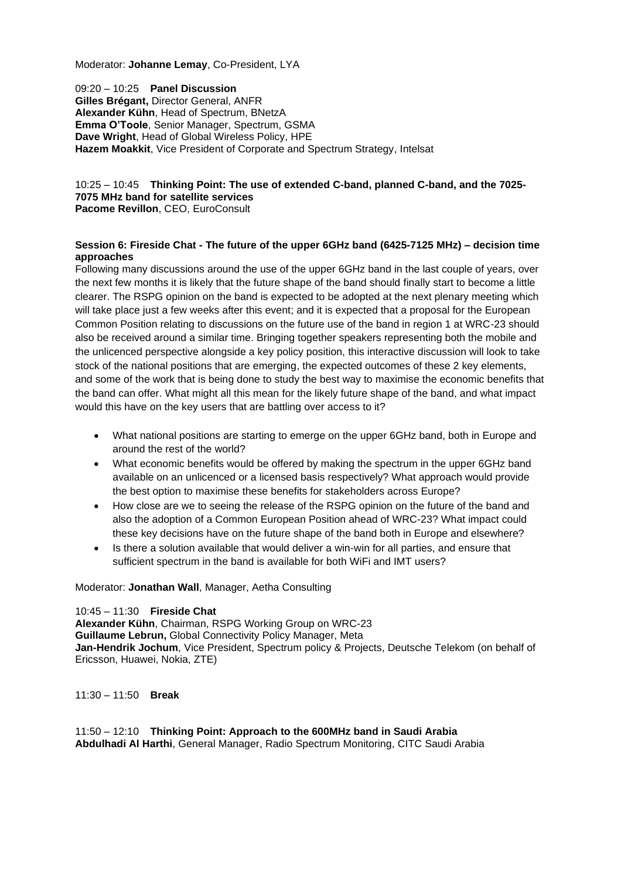Moderator: **Johanne Lemay**, Co-President, LYA

09:20 – 10:25 **Panel Discussion Gilles Brégant,** Director General, ANFR **Alexander Kühn**, Head of Spectrum, BNetzA **Emma O'Toole**, Senior Manager, Spectrum, GSMA **Dave Wright**, Head of Global Wireless Policy, HPE **Hazem Moakkit**, Vice President of Corporate and Spectrum Strategy, Intelsat

## 10:25 – 10:45 **Thinking Point: The use of extended C-band, planned C-band, and the 7025- 7075 MHz band for satellite services**

**Pacome Revillon**, CEO, EuroConsult

#### **Session 6: Fireside Chat - The future of the upper 6GHz band (6425-7125 MHz) – decision time approaches**

Following many discussions around the use of the upper 6GHz band in the last couple of years, over the next few months it is likely that the future shape of the band should finally start to become a little clearer. The RSPG opinion on the band is expected to be adopted at the next plenary meeting which will take place just a few weeks after this event; and it is expected that a proposal for the European Common Position relating to discussions on the future use of the band in region 1 at WRC-23 should also be received around a similar time. Bringing together speakers representing both the mobile and the unlicenced perspective alongside a key policy position, this interactive discussion will look to take stock of the national positions that are emerging, the expected outcomes of these 2 key elements, and some of the work that is being done to study the best way to maximise the economic benefits that the band can offer. What might all this mean for the likely future shape of the band, and what impact would this have on the key users that are battling over access to it?

- What national positions are starting to emerge on the upper 6GHz band, both in Europe and around the rest of the world?
- What economic benefits would be offered by making the spectrum in the upper 6GHz band available on an unlicenced or a licensed basis respectively? What approach would provide the best option to maximise these benefits for stakeholders across Europe?
- How close are we to seeing the release of the RSPG opinion on the future of the band and also the adoption of a Common European Position ahead of WRC-23? What impact could these key decisions have on the future shape of the band both in Europe and elsewhere?
- Is there a solution available that would deliver a win-win for all parties, and ensure that sufficient spectrum in the band is available for both WiFi and IMT users?

Moderator: **Jonathan Wall**, Manager, Aetha Consulting

#### 10:45 – 11:30 **Fireside Chat**

**Alexander Kühn**, Chairman, RSPG Working Group on WRC-23 **Guillaume Lebrun,** Global Connectivity Policy Manager, Meta **Jan-Hendrik Jochum**, Vice President, Spectrum policy & Projects, Deutsche Telekom (on behalf of Ericsson, Huawei, Nokia, ZTE)

11:30 – 11:50 **Break**

#### 11:50 – 12:10 **Thinking Point: Approach to the 600MHz band in Saudi Arabia Abdulhadi Al Harthi**, General Manager, Radio Spectrum Monitoring, CITC Saudi Arabia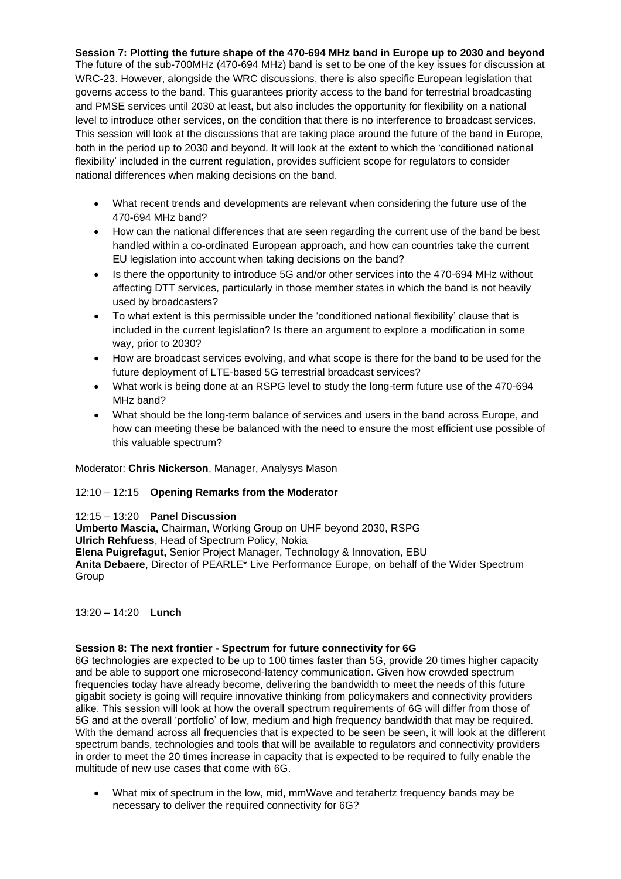**Session 7: Plotting the future shape of the 470-694 MHz band in Europe up to 2030 and beyond** The future of the sub-700MHz (470-694 MHz) band is set to be one of the key issues for discussion at WRC-23. However, alongside the WRC discussions, there is also specific European legislation that governs access to the band. This guarantees priority access to the band for terrestrial broadcasting and PMSE services until 2030 at least, but also includes the opportunity for flexibility on a national level to introduce other services, on the condition that there is no interference to broadcast services. This session will look at the discussions that are taking place around the future of the band in Europe, both in the period up to 2030 and beyond. It will look at the extent to which the 'conditioned national flexibility' included in the current regulation, provides sufficient scope for regulators to consider national differences when making decisions on the band.

- What recent trends and developments are relevant when considering the future use of the 470-694 MHz band?
- How can the national differences that are seen regarding the current use of the band be best handled within a co-ordinated European approach, and how can countries take the current EU legislation into account when taking decisions on the band?
- Is there the opportunity to introduce 5G and/or other services into the 470-694 MHz without affecting DTT services, particularly in those member states in which the band is not heavily used by broadcasters?
- To what extent is this permissible under the 'conditioned national flexibility' clause that is included in the current legislation? Is there an argument to explore a modification in some way, prior to 2030?
- How are broadcast services evolving, and what scope is there for the band to be used for the future deployment of LTE-based 5G terrestrial broadcast services?
- What work is being done at an RSPG level to study the long-term future use of the 470-694 MHz band?
- What should be the long-term balance of services and users in the band across Europe, and how can meeting these be balanced with the need to ensure the most efficient use possible of this valuable spectrum?

Moderator: **Chris Nickerson**, Manager, Analysys Mason

#### 12:10 – 12:15 **Opening Remarks from the Moderator**

#### 12:15 – 13:20 **Panel Discussion**

**Umberto Mascia,** Chairman, Working Group on UHF beyond 2030, RSPG **Ulrich Rehfuess**, Head of Spectrum Policy, Nokia **Elena Puigrefagut,** Senior Project Manager, Technology & Innovation, EBU **Anita Debaere**, Director of PEARLE\* Live Performance Europe, on behalf of the Wider Spectrum Group

13:20 – 14:20 **Lunch**

#### **Session 8: The next frontier - Spectrum for future connectivity for 6G**

6G technologies are expected to be up to 100 times faster than 5G, provide 20 times higher capacity and be able to support one microsecond-latency communication. Given how crowded spectrum frequencies today have already become, delivering the bandwidth to meet the needs of this future gigabit society is going will require innovative thinking from policymakers and connectivity providers alike. This session will look at how the overall spectrum requirements of 6G will differ from those of 5G and at the overall 'portfolio' of low, medium and high frequency bandwidth that may be required. With the demand across all frequencies that is expected to be seen be seen, it will look at the different spectrum bands, technologies and tools that will be available to regulators and connectivity providers in order to meet the 20 times increase in capacity that is expected to be required to fully enable the multitude of new use cases that come with 6G.

• What mix of spectrum in the low, mid, mmWave and terahertz frequency bands may be necessary to deliver the required connectivity for 6G?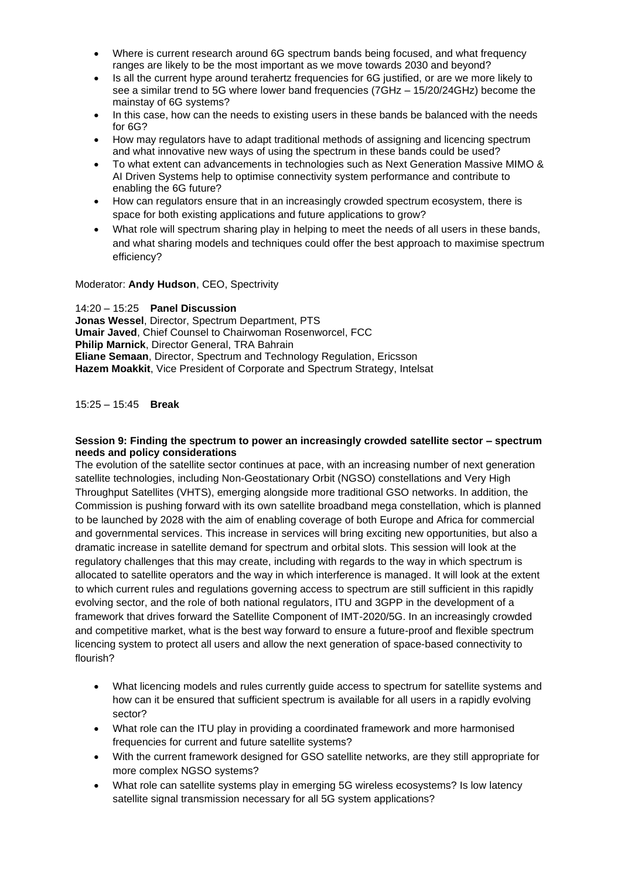- Where is current research around 6G spectrum bands being focused, and what frequency ranges are likely to be the most important as we move towards 2030 and beyond?
- Is all the current hype around terahertz frequencies for 6G justified, or are we more likely to see a similar trend to 5G where lower band frequencies (7GHz – 15/20/24GHz) become the mainstay of 6G systems?
- In this case, how can the needs to existing users in these bands be balanced with the needs for 6G?
- How may regulators have to adapt traditional methods of assigning and licencing spectrum and what innovative new ways of using the spectrum in these bands could be used?
- To what extent can advancements in technologies such as Next Generation Massive MIMO & AI Driven Systems help to optimise connectivity system performance and contribute to enabling the 6G future?
- How can regulators ensure that in an increasingly crowded spectrum ecosystem, there is space for both existing applications and future applications to grow?
- What role will spectrum sharing play in helping to meet the needs of all users in these bands, and what sharing models and techniques could offer the best approach to maximise spectrum efficiency?

Moderator: **Andy Hudson**, CEO, Spectrivity

14:20 – 15:25 **Panel Discussion Jonas Wessel**, Director, Spectrum Department, PTS **Umair Javed**, Chief Counsel to Chairwoman Rosenworcel, FCC **Philip Marnick**, Director General, TRA Bahrain **Eliane Semaan**, Director, Spectrum and Technology Regulation, Ericsson **Hazem Moakkit**, Vice President of Corporate and Spectrum Strategy, Intelsat

15:25 – 15:45 **Break**

#### **Session 9: Finding the spectrum to power an increasingly crowded satellite sector – spectrum needs and policy considerations**

The evolution of the satellite sector continues at pace, with an increasing number of next generation satellite technologies, including Non-Geostationary Orbit (NGSO) constellations and Very High Throughput Satellites (VHTS), emerging alongside more traditional GSO networks. In addition, the Commission is pushing forward with its own satellite broadband mega constellation, which is planned to be launched by 2028 with the aim of enabling coverage of both Europe and Africa for commercial and governmental services. This increase in services will bring exciting new opportunities, but also a dramatic increase in satellite demand for spectrum and orbital slots. This session will look at the regulatory challenges that this may create, including with regards to the way in which spectrum is allocated to satellite operators and the way in which interference is managed. It will look at the extent to which current rules and regulations governing access to spectrum are still sufficient in this rapidly evolving sector, and the role of both national regulators, ITU and 3GPP in the development of a framework that drives forward the Satellite Component of IMT-2020/5G. In an increasingly crowded and competitive market, what is the best way forward to ensure a future-proof and flexible spectrum licencing system to protect all users and allow the next generation of space-based connectivity to flourish?

- What licencing models and rules currently guide access to spectrum for satellite systems and how can it be ensured that sufficient spectrum is available for all users in a rapidly evolving sector?
- What role can the ITU play in providing a coordinated framework and more harmonised frequencies for current and future satellite systems?
- With the current framework designed for GSO satellite networks, are they still appropriate for more complex NGSO systems?
- What role can satellite systems play in emerging 5G wireless ecosystems? Is low latency satellite signal transmission necessary for all 5G system applications?